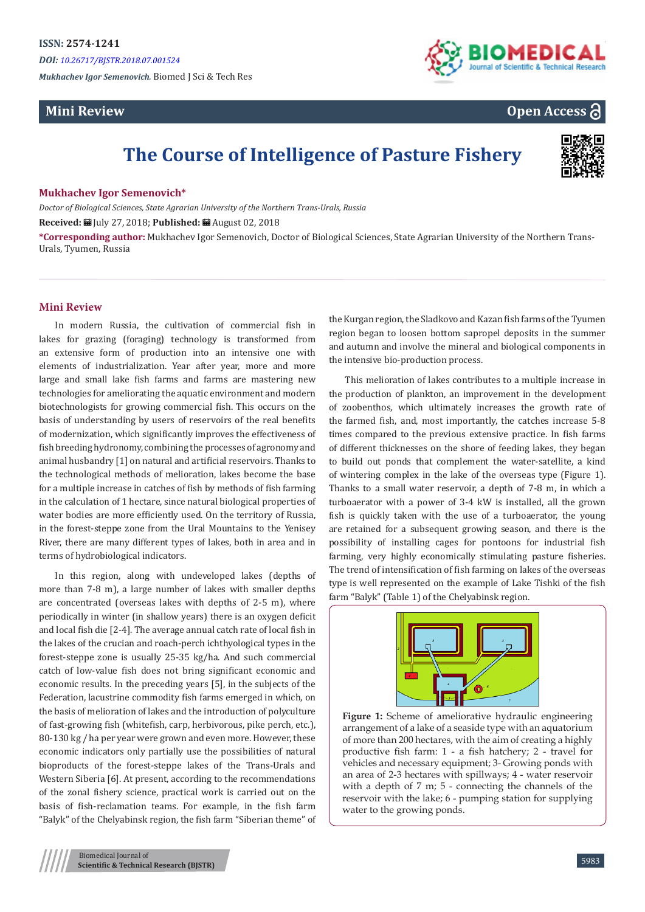*DOI: [10.26717/BJSTR.2018.07.001524](http://dx.doi.org/10.26717/BJSTR.2018.07.001524)*

*Mukhachev Igor Semenovich.* Biomed J Sci & Tech Res

## **Mini Review**



**Open Access**

# **The Course of Intelligence of Pasture Fishery**



#### **Mukhachev Igor Semenovich\***

*Doctor of Biological Sciences, State Agrarian University of the Northern Trans-Urals, Russia* **Received:** July 27, 2018; **Published:** August 02, 2018

**\*Corresponding author:** Mukhachev Igor Semenovich, Doctor of Biological Sciences, State Agrarian University of the Northern Trans-Urals, Tyumen, Russia

#### **Mini Review**

In modern Russia, the cultivation of commercial fish in lakes for grazing (foraging) technology is transformed from an extensive form of production into an intensive one with elements of industrialization. Year after year, more and more large and small lake fish farms and farms are mastering new technologies for ameliorating the aquatic environment and modern biotechnologists for growing commercial fish. This occurs on the basis of understanding by users of reservoirs of the real benefits of modernization, which significantly improves the effectiveness of fish breeding hydronomy, combining the processes of agronomy and animal husbandry [1] on natural and artificial reservoirs. Thanks to the technological methods of melioration, lakes become the base for a multiple increase in catches of fish by methods of fish farming in the calculation of 1 hectare, since natural biological properties of water bodies are more efficiently used. On the territory of Russia, in the forest-steppe zone from the Ural Mountains to the Yenisey River, there are many different types of lakes, both in area and in terms of hydrobiological indicators.

In this region, along with undeveloped lakes (depths of more than 7-8 m), a large number of lakes with smaller depths are concentrated (overseas lakes with depths of 2-5 m), where periodically in winter (in shallow years) there is an oxygen deficit and local fish die [2-4]. The average annual catch rate of local fish in the lakes of the crucian and roach-perch ichthyological types in the forest-steppe zone is usually 25-35 kg/ha. And such commercial catch of low-value fish does not bring significant economic and economic results. In the preceding years [5], in the subjects of the Federation, lacustrine commodity fish farms emerged in which, on the basis of melioration of lakes and the introduction of polyculture of fast-growing fish (whitefish, carp, herbivorous, pike perch, etc.), 80-130 kg / ha per year were grown and even more. However, these economic indicators only partially use the possibilities of natural bioproducts of the forest-steppe lakes of the Trans-Urals and Western Siberia [6]. At present, according to the recommendations of the zonal fishery science, practical work is carried out on the basis of fish-reclamation teams. For example, in the fish farm "Balyk" of the Chelyabinsk region, the fish farm "Siberian theme" of the Kurgan region, the Sladkovo and Kazan fish farms of the Tyumen region began to loosen bottom sapropel deposits in the summer and autumn and involve the mineral and biological components in the intensive bio-production process.

This melioration of lakes contributes to a multiple increase in the production of plankton, an improvement in the development of zoobenthos, which ultimately increases the growth rate of the farmed fish, and, most importantly, the catches increase 5-8 times compared to the previous extensive practice. In fish farms of different thicknesses on the shore of feeding lakes, they began to build out ponds that complement the water-satellite, a kind of wintering complex in the lake of the overseas type (Figure 1). Thanks to a small water reservoir, a depth of 7-8 m, in which a turboaerator with a power of 3-4 kW is installed, all the grown fish is quickly taken with the use of a turboaerator, the young are retained for a subsequent growing season, and there is the possibility of installing cages for pontoons for industrial fish farming, very highly economically stimulating pasture fisheries. The trend of intensification of fish farming on lakes of the overseas type is well represented on the example of Lake Tishki of the fish farm "Balyk" (Table 1) of the Chelyabinsk region.



**Figure 1:** Scheme of ameliorative hydraulic engineering arrangement of a lake of a seaside type with an aquatorium of more than 200 hectares, with the aim of creating a highly productive fish farm: 1 - a fish hatchery; 2 - travel for vehicles and necessary equipment; 3- Growing ponds with an area of 2-3 hectares with spillways; 4 - water reservoir with a depth of 7 m; 5 - connecting the channels of the reservoir with the lake; 6 - pumping station for supplying water to the growing ponds.